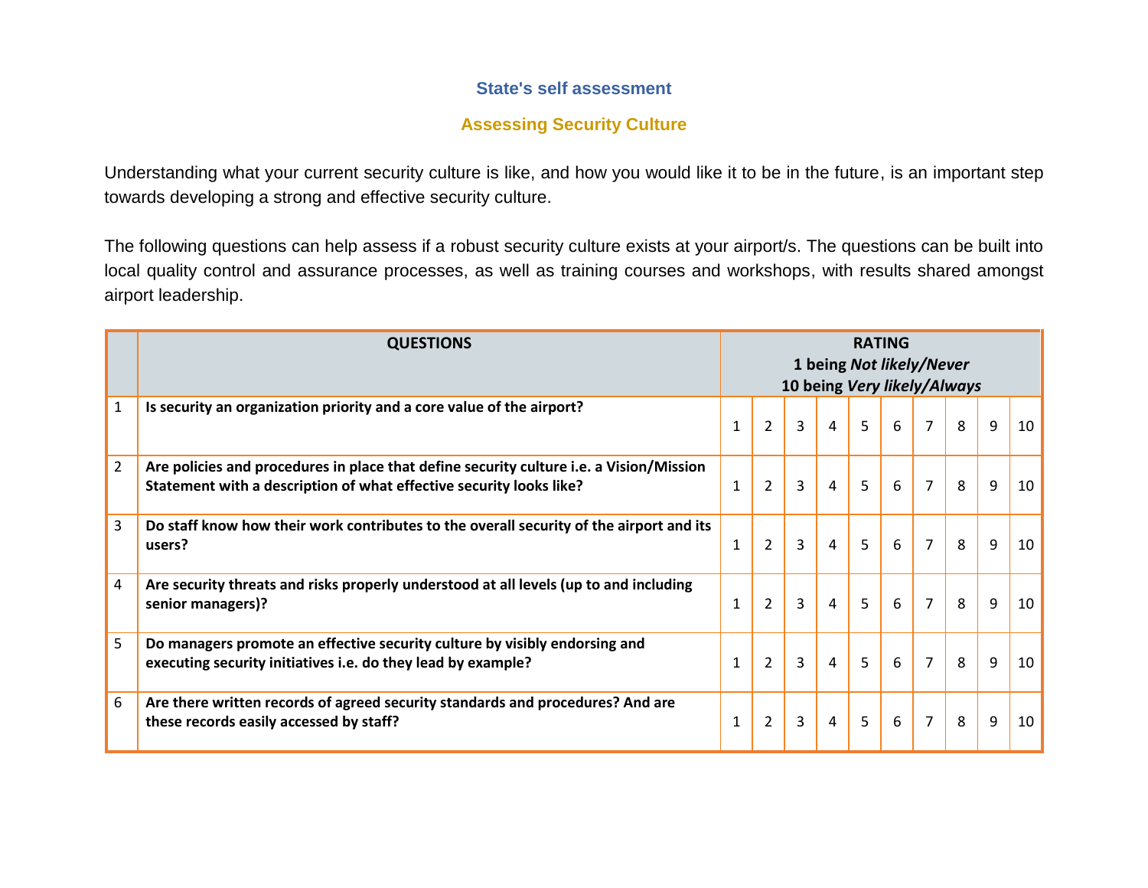## **State's self assessment**

## **Assessing Security Culture**

Understanding what your current security culture is like, and how you would like it to be in the future, is an important step towards developing a strong and effective security culture.

The following questions can help assess if a robust security culture exists at your airport/s. The questions can be built into local quality control and assurance processes, as well as training courses and workshops, with results shared amongst airport leadership.

|                | <b>QUESTIONS</b>                                                                                                                                               | <b>RATING</b><br>1 being Not likely/Never<br>10 being Very likely/Always |                |   |                |                |   |                |   |   |    |
|----------------|----------------------------------------------------------------------------------------------------------------------------------------------------------------|--------------------------------------------------------------------------|----------------|---|----------------|----------------|---|----------------|---|---|----|
| $\mathbf{1}$   | Is security an organization priority and a core value of the airport?                                                                                          | $\mathbf{1}$                                                             | $\overline{2}$ | 3 | $\overline{4}$ | $\overline{5}$ | 6 | $\overline{7}$ | 8 | 9 | 10 |
| $\overline{2}$ | Are policies and procedures in place that define security culture i.e. a Vision/Mission<br>Statement with a description of what effective security looks like? | 1                                                                        | $\overline{2}$ | 3 | $\overline{4}$ | 5              | 6 | $\overline{7}$ | 8 | 9 | 10 |
| 3              | Do staff know how their work contributes to the overall security of the airport and its<br>users?                                                              | $\mathbf{1}$                                                             | $\overline{2}$ | 3 | $\overline{4}$ | 5              | 6 | $\overline{7}$ | 8 | 9 | 10 |
| 4              | Are security threats and risks properly understood at all levels (up to and including<br>senior managers)?                                                     | $\mathbf{1}$                                                             | $\overline{2}$ | 3 | $\overline{4}$ | $\overline{5}$ | 6 | $\overline{7}$ | 8 | 9 | 10 |
| 5              | Do managers promote an effective security culture by visibly endorsing and<br>executing security initiatives i.e. do they lead by example?                     | $\mathbf{1}$                                                             | $\overline{2}$ | 3 | $\overline{4}$ | 5              | 6 | $\overline{7}$ | 8 | 9 | 10 |
| 6              | Are there written records of agreed security standards and procedures? And are<br>these records easily accessed by staff?                                      | 1                                                                        | $\overline{2}$ | 3 | $\overline{4}$ | 5              | 6 | $\overline{7}$ | 8 | 9 | 10 |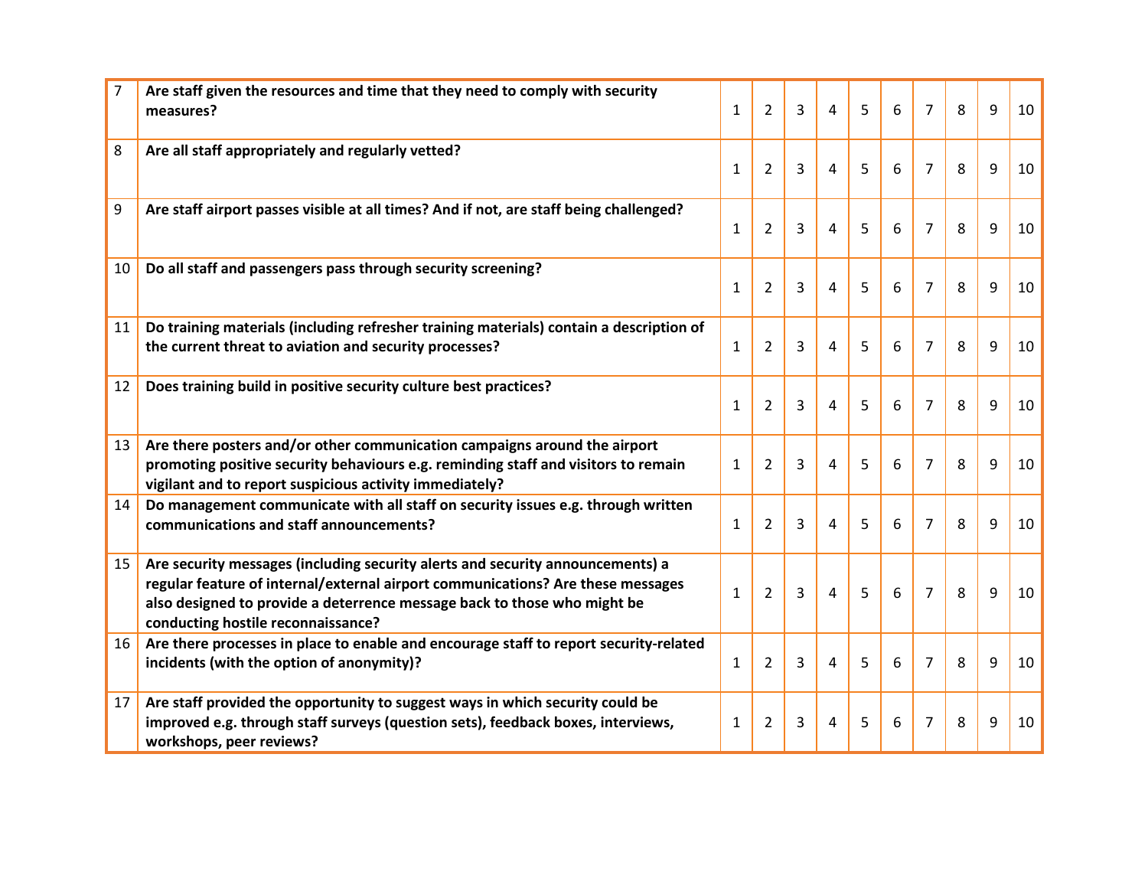| $\overline{7}$  | Are staff given the resources and time that they need to comply with security<br>measures?                                                                                                                                                                                          | $\mathbf{1}$ | $\overline{2}$ | 3              | 4              | 5              | 6 | $\overline{7}$ | 8 | 9 | 10 |
|-----------------|-------------------------------------------------------------------------------------------------------------------------------------------------------------------------------------------------------------------------------------------------------------------------------------|--------------|----------------|----------------|----------------|----------------|---|----------------|---|---|----|
| 8               | Are all staff appropriately and regularly vetted?                                                                                                                                                                                                                                   | $\mathbf{1}$ | $\overline{2}$ | 3              | 4              | 5              | 6 | $\overline{7}$ | 8 | 9 | 10 |
| 9               | Are staff airport passes visible at all times? And if not, are staff being challenged?                                                                                                                                                                                              | $\mathbf{1}$ | $\overline{2}$ | 3              | 4              | 5              | 6 | $\overline{7}$ | 8 | 9 | 10 |
| 10              | Do all staff and passengers pass through security screening?                                                                                                                                                                                                                        | $\mathbf{1}$ | $\overline{2}$ | 3              | 4              | 5              | 6 | $\overline{7}$ | 8 | 9 | 10 |
| 11              | Do training materials (including refresher training materials) contain a description of<br>the current threat to aviation and security processes?                                                                                                                                   | $\mathbf{1}$ | 2              | 3              | 4              | 5              | 6 | $\overline{7}$ | 8 | 9 | 10 |
| 12              | Does training build in positive security culture best practices?                                                                                                                                                                                                                    | $\mathbf{1}$ | $\overline{2}$ | $\overline{3}$ | 4              | 5              | 6 | $\overline{7}$ | 8 | 9 | 10 |
| 13              | Are there posters and/or other communication campaigns around the airport<br>promoting positive security behaviours e.g. reminding staff and visitors to remain<br>vigilant and to report suspicious activity immediately?                                                          | $\mathbf{1}$ | 2              | 3              | $\overline{4}$ | 5              | 6 | $\overline{7}$ | 8 | 9 | 10 |
| 14              | Do management communicate with all staff on security issues e.g. through written<br>communications and staff announcements?                                                                                                                                                         | $\mathbf{1}$ | $\overline{2}$ | 3              | 4              | 5              | 6 | $\overline{7}$ | 8 | 9 | 10 |
| 15 <sub>1</sub> | Are security messages (including security alerts and security announcements) a<br>regular feature of internal/external airport communications? Are these messages<br>also designed to provide a deterrence message back to those who might be<br>conducting hostile reconnaissance? | $\mathbf{1}$ | $\overline{2}$ | 3              | 4              | $\overline{5}$ | 6 | $\overline{7}$ | 8 | 9 | 10 |
| 16              | Are there processes in place to enable and encourage staff to report security-related<br>incidents (with the option of anonymity)?                                                                                                                                                  | $\mathbf{1}$ | $\overline{2}$ | 3              | 4              | 5              | 6 | $\overline{7}$ | 8 | 9 | 10 |
| 17              | Are staff provided the opportunity to suggest ways in which security could be<br>improved e.g. through staff surveys (question sets), feedback boxes, interviews,<br>workshops, peer reviews?                                                                                       | $\mathbf{1}$ | $\overline{2}$ | 3              | 4              | 5              | 6 | 7              | 8 | 9 | 10 |